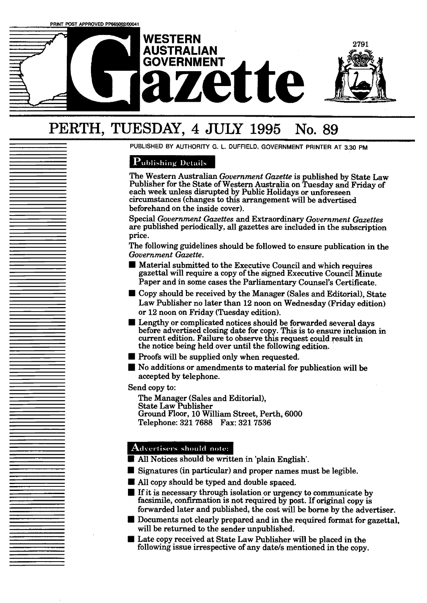

# PERTH, **TUESDAY, 4** JULY **1995 No. 89**

PUBLISHED BY AUTHORITY G. L. DUFFIELD, GOVERNMENT PRINTER AT 3.30 PM

## Publishing Details

The Western Australian *Government Gazette* is published by State Law Publisher for the State of Western Australia on Tuesday and Friday of each week unless disrupted by Public Holidays or unforeseen circumstances (changes to this arrangement will be advertised beforehand on the inside cover).

Special *Government Gazettes* and Extraordinary *Government Gazettes*  are published periodically, all gazettes are included in the subscription price.

The following guidelines should be followed to ensure publication in the *Government Gazette.* 

- **I** Material submitted to the Executive Council and which requires gazettal will require a copy of the signed Executive Council Minute Paper and in some cases the Parliamentary Counsel's Certificate. ■ Material submitted to the Executive Council and which requires gazettal will require a copy of the signed Executive Council Minute Paper and in some cases the Parliamentary Counsel's Certificate.<br>■ Copy should be receiv
- Law Publisher no later than **12** noon on Wednesday (Friday edition) or **12** noon on Friday (Tuesday edition). **II** Copy should be received by the Manager (Sales and Editorial), State<br>Law Publisher no later than 12 noon on Wednesday (Friday edition)<br>or 12 noon on Friday (Tuesday edition).<br>Lengthy or complicated notices should be fo
- current edition. Failure to observe this request could result in the notice being held over until the following edition. ■ Bengtry of compirated notices should be forward before advertised closing date for copy. This if current edition. Failure to observe this requested.<br>
In proofs will be supplied only when requested.<br>
■ No additions or am
- 
- No additions or amendments to material for publication will be accepted by telephone.

Send copy to:

The Manager (Sales and Editorial), State Law Publisher Ground Floor, 10 William Street, Perth, 6000 Telephone: **321 7688 Fax: 321 7536** 

- Advertisers should note:<br>**III All Notices should be written in 'plain English'.**
- Signatures (in particular) and proper names must be legible,
- All copy should be typed and double spaced.
- If it is necessary through isolation or urgency to communicate by facsimile, confirmation is not required by post. If original copy is forwarded later and published, the cost will be borne by the advertiser.
- $\blacksquare$  Documents not clearly prepared and in the required format for gazettal, will be returned to the sender unpublished.
	- Late copy received at State Law Publisher will be placed in the following issue irrespective of any date's mentioned in the copy.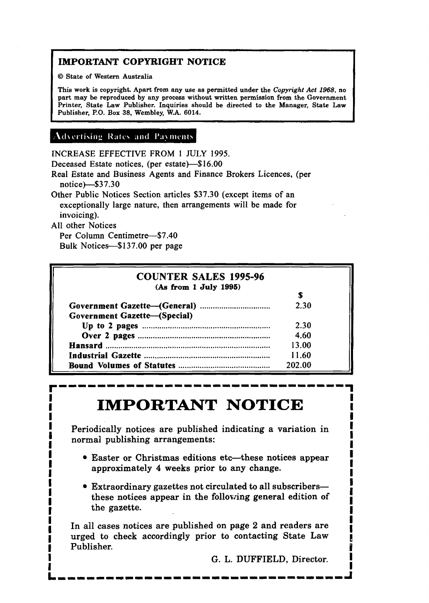# **IMPORTANT COPYRIGHT NOTICE**

O **State of Western Australia** 

**This work is copyright. Apart from any use as permitted under the Copyright** *Act* **1968, no part may be repraduced by any process without written permission from the Government Printer, State Law Publisher. Inquiries should be directed to the Manager, State Law Publisher, P.O. Box 38, Wembley, W.A. 6014.** 

# **Advertising Rates and Payments**

INCREASE EFFECTIVE **FROM** 1 JULY **1995.** 

Deceased Estate notices, (per estate)-\$16.00

Real Estate and Business Agents and Finance Brokers Licences, (per notice)--\$3 7.30

Other Public Notices Section articles \$37.30 (except items of an exceptionally large nature, then arrangements wiIl be made for invoicing).

All other Notices

Per Column Centimetre-\$7.40 Bulk Notices-\$137.00 per page

| <b>COUNTER SALES 1995-96</b>        |        |
|-------------------------------------|--------|
| (As from 1 July 1995)               |        |
|                                     |        |
|                                     | 2.30   |
| <b>Government Gazette-(Special)</b> |        |
|                                     | 2.30   |
|                                     | 4.60   |
|                                     | 13.00  |
|                                     | 11.60  |
|                                     | 202.00 |

# **IMPORTANT NOTICE**

**I** Periodically notices are published indicating **s** variation in **<sup>1</sup> <sup>I</sup>**normal publishing arrangements: <sup>I</sup> **I** - **<sup>d</sup>**

- **I** Easter or Christmas editions etc-these notices appear **I I e** Easter or Christmas editions etc—these notices appear<br>approximately 4 weeks prior to any change. approximately 4 weeks prior to any change.
- **Extraordinary gazettes not circulated to all subscribers-**I and the section of the section of the section of the section of the section of the section of  $\frac{1}{2}$ **I** the gazette.

I<br>I In all cases notices are published on page 2 and readers are **I I** In all cases notices are published on page 2 and readers are **1**<br>**1 1988 1989 1989 1989 1989 1989 1989 1989 1989 1989 1989 1989 1989 1989 1989 1989 1989 1989 1989 1989 1989 1** urged to check accordingly prior to contacting State Law **1** Publisher. **<sup>p</sup>**

**I** G. L. **DUFFIELD,** Director. **I I** I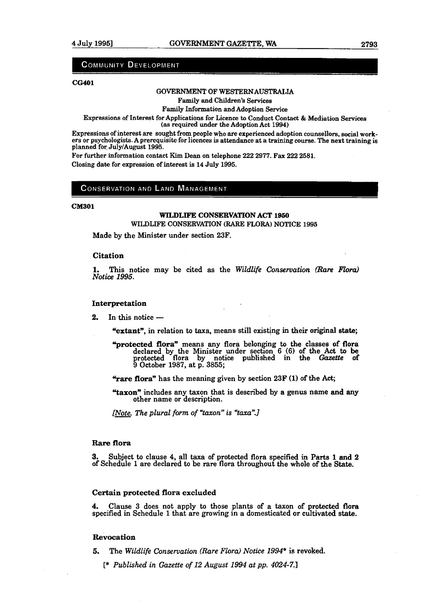#### **COMMUNITY DEVELOPMENT**

#### **cG401**

#### **GQVERNMENT** OF WESTERNAUSTRALLA

Family **and** Children's Services

Family Information and Adoption **Service** 

Expressions of Interest for Applications for Licence to Conduct Contact & Mediation Services **(as** required under the Adoption Act 1994)

Expressions of interest are sought from people who are experienced adoption counsellom, social workers or psychologists. A prerequisite for licences is attendance at a training course. The next training is planned for July/August **1995.** 

For further information contact Kim Dean on telephone 222 2977. Fax 222 2581. Closing date for expression of interest is 14 July 1995.

#### **CONSERVATION AND LAND MANAGEMENT**

#### **CM301**

#### **WILDLIFE CONSERVATION ACT 1950**  WILDLIFE CONSERVATION (RARE **FLORA)** NOTICE **1995**

Made by the Minister under section 23F.

#### **Citation**

**1.** This notice may be cited as the *Wildlife Conservation* **(Rare** *Flora) Notice 1995.* 

**Interpretation**<br>**2.** In this notice —

**"extant",** in relation **to** taxa, means still existing in their original **state;** 

- **"protected flora"** means any flora belonging to the classes of flora declared by the Minister under sectlon 6 **(6)** of the Act to be protected flora by notice published in the **Gazette** of **9** October **1987,** at p. **3855;**
- **"rare flora"** has the meaning given by section 23F **(1)** of the **Act,**
- **Yaxon"** includes any taxon that is described by a genus name and **any** other name or description.

*<u>INote</u>. The plural form of "taxon" is "taxa".]* 

#### **Rare flora**

**3.** Subject to clause 4, all **taxa** of protected flora specified in **Parts** 1 and **<sup>2</sup>** of Schedule **1** are declared to be rare flora throughout the whole of the **State.** 

#### **Certain protected flora excluded**

**4.** Clause **3** does not apply to those plants of a taxon of rotected **flom**  specified in Schedule 1 that are growing in a domesticated or cultivated state.

#### **Revocation**

**5. The** *Wildlife Conservation (Rare Flora) Notice* **1994\*** is revoked.

[\* *Published in Gazette of 12 August 1994 at pp. 4024-7.1* 

. -.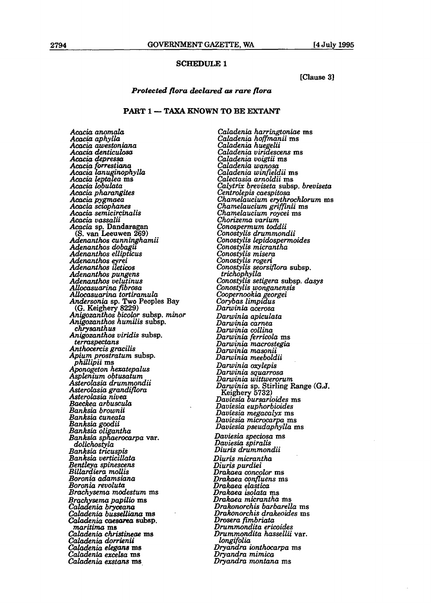#### **SCHEDULE l**

**[Clause 31** 

#### *Protected flora declamd* **as** *rare flora*

#### **PART 1** - **TAXA KNOWN TO BE EXTANT**

Acacia *anomalcr Acacia aphylla Acacia awestoniana*  Acacia *denticulosa Acacia depressa Acacia fmestiancr Acacia lunu 'nophylla ~cacia~e* **ta** 'E! *ams Acacia leptalea* ms<br>*Acacia lobulata*<br>*Acacia pharangites Acacia pharangites Acacia pygmaea Acacia scrophanes Acacia semicircinalis Acacia vassalii Acacia* **sp. Dandaragan** *(S.* **van Leeuwen 269)** *Adenanthos cunnrnghamii Adenanthos dobagb Adenunthos ellipticus Adenanthos ellipticus*<br>Adenanthos eyrei  $Adenanthos$  *ileticos Adenanthos pungens Adenanthos velutinus AUocasuarina fibrosa AUocasuarina tortiramula Andersonia* **sp. Two Peoples Bay (G. Keighery 8229)** *Anigozanthos bicolor* **subsp.** *minor Anigozanthos bicolor subsp. minor Anigozanthos humilis subsp.*<br> *chrysanthus Anigozanthos viridis* **subsp.**  *termspectans Anthocercis gmcilis Apium prostratum* **subsp.** *phillipii* **ms**  *Aponogeton haatepalus Asplenium obtusatum Asterolasia drummondii Asterolasia grandiflora Asterolasia nivea Baeckea arbuscula Banksiu brownii Banksia cuneata Banksia goodii Banksia oli antha Banksia sp* **L** *rocarpa* **var.**  *dolichostyla Banksiu tricuspis Banksia verttccllata Berttteya spinescens Billardiera mUis Boronia adamsiuna Boronia revolutu Brachysema modestum* **ms**  *Bra& sema papilio* **ms**  *~adnia bryoeauur Caladenia busseUiana ms Caladenia umama* **subsp.** *nuzritinuz* **m8**  *Caladenia christineae ms Caladenia dorrienii Caiadenia ekgans* **ms**  *Caladenia excelsa* **ms**  *Cala&eniu exstans* **ms** 

*Caladenia harringtoniae* **ms**  *Caladenia hofmanii* **ms**  *Caladenia huegelii Caladenia viridescens* **ms**  *Calaclenia voigtii* **ms**  *Caladenia wanosa Caladenia winfwldii* **ms**  *Calectasia arnoldii* **ms**  *Calytrix breviseta* **subsp.** *breviseda*   $Chamelaucium$  erythrochlorum *ms Chamelaucium grifinii* **ms**  *Chamelaucium roycei* **ms**  *Chorizema varium Conospermum tdii Conostylis drummondii Conostylis Lepiclospermoides Conostylis micrantha Conostylis misem Conostylis rogeri Conostylis seorsiflom* **subsp.** *trichophylla Conostylis setigera* **subsp.** *dasys Conostylis wonganensis Coopernookia georgei Corybas limpidus Danoiniu acerosa Danuinia apiculata Danuinia carnea Darwinia wllina Darwinia ferricola* **rns**  *Danuinia macrostegia Darwinia masonii Darwinia meeboldii Darwinia oxylepis Darwinia squarrosa Darwinia wittwerorum Darwinia* sp. Stirling Range (G.J.<br> *Keighery* 5732)<br> *Daviesia bursarioides* ms<br> *Daviesia euphorbioides*  $Daviesia$  *megacalyx* **ms** *Daviesia microcar a* **ms**  *Daviesia pseuiaplytla* **ms** 

*Daviesia speciosa* **ms**  *Daviesia spiralis Diuris drumnwndii* 

*Diuris micranthu Diuris purdiei Drakaea wncolor* **ms**  *Dmkuea confluens* **ms**  *Drakaea elastica Drakuea isolata* **ms**  *Dmkaea micrantha* **ms**  *Dmkonorchis barbarella* **ms**  *Drakonorchis drakeoides* **ms**  *Drosera fmbriatu Drummondita erbides Drummondita hussellii* **var.**  *longifoliu*   $Dryandra$  *ionthocarpa* ms *Dryandra mimica Dvyanclra montana* **ms**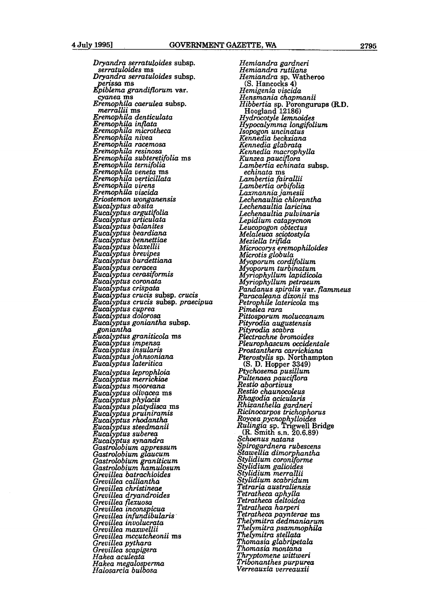*Dryandra serratuloides* **subsp.** *serratuloides* **ms**  *Dryandra serratuloides* **subsp. B** *erissa* **ms**  *piblema grandiflorum* **var.**  *cyanea* **rns**  *Eremophila caerulea* **subsp.** *merrallii* **ns**  *Eremophila denticulata Eremophila inflata Eremophila microtheca Eremophila nivea Eremophila racemosa Ereinophila resinosa. Eremophila subteretifolia* ms<br>*Eremophila ternifolia Eraophila ternifolia Eremophila veneta* **ms**  *Eremophila verticillata*  Eremophila viscida Eriostemon wonganensis Eucalyptus absita Eucalyptus argutifolia Eucalyptus articulata Eucalyptus balanites Eucalyptus beardiana<br>Eucalyptus bennettiae<br>Eucalyptus blaxellii Eucalyptus brevipes<br>Eucalyptus burdettiana Eucalyptus ceracea Eucalyptus cerasiformis Eucalyptus coronata<br>Eucalyptus crispata Eucalyptus crucis subsp. crucis Eucalyptus crucis subsp. praecipua<br>Eucalyptus cuprea Eucalyptus dolorosa Eucalyptus goniantha subsp. goniantha<br>Eucalyptus graniticola ms Eucalyptus impensa Eucalyptus insularis<br>Eucalyptus johnsoniana Eucalyptus lateritica *Eucal ptus kprophloia Euca ptus merrwkiae*   $Eucalyptus$  mooreana<br>*Eucalyptus olivacea* ms Eucalyptus phylacis Eucalyptus platydisca ms<br>Eucalyptus pruiniramis Eucalyptus rhodantha Eucalyptus steedmanii Eucalyptus suberea<br>Eucalyptus synandra Gastrolobium appressum Gastrolobium glaucum Gastrolobium graniticum<br>Gastrolobium hamulosum<br>Grevillea batrachioides *Grevillea calliantha Grevillea christineae Grevillea dryandroides Grevillea flexuosa Grevillea incons icua Grevillea infurdbukrris- Gre villea in volwrata Grevillea maxwellii Grevillea mccutchonii ms Grevillea pytkra Grevillea scaptgem Hakea aculeata Hakea megalos erma* 

*Halosarcia bulbosa* 

*Hemiandra gardneri Hemiandra rutilans Hemiandra* sp. Watheroo **(S. Hancocks 4) (S. Hancocks 4)** *Hemigenia viscida Hensmania chapmanii Hibbertia sp.* **Porongurups (RD.**  *Hoogland* **12186)**  *H drocotyle lemnoides li&poca~ymma longifoliurn IGpogon uncinatus-Kennedia beckxiana Kennedia glabrata Kennedia macrophylla Kunzea pauc ora Lambertia ec* <sup>F</sup>*inata* **subsp.** *echinata* **rns**  *Lambertia fairallii Lambertia orbifolia Laxmannia jamesii Lechenuultia chlorantha Lechenaultia laricina Lechenaultia pulvinuris Lepidium catapycnon Leuco ogon obtectus Meziella trifida<br>Microcorys eremophiloides<br>Microtis globula<br>Myoporum cordifolium<br>Myoporum turbinatum<br>Myriophyllum lapidicola driophyllum lopidimlo M&iophyllwn petroeum Pandanus spiralis* **var.** *fEammeus Paracaleana dixunii* **ms**  *Petro hile latericola* **ms**  *~i&a rara Pittosporum moluccanum Pityrodia augustensis Pityrodiu scabra Phtrachne bromides Pleurophascum occidentale Prostanthera carrickiana Pterostylis sp. Northampton* (S. D. Hopper 3349)<br> *Ptychosema pusillum<br>
<i>Pultenaea pauciflora*<br> *Restio abortivus Restw chaunocoleus Rhagodia acicularis Rhizanthelh gardneri Ricinoccrrpos trichophorus Roycea pycno h~lloides Roycea pycnophylloides*<br>*Rulingia* sp. Trigwell Bridge<br>(R. Smith s.n. 20.6.89)<br>Schoenus natans *S irogardnera rubescens*   $\it Staw$ ellia dimorphantha<br>Stylidium coroniforme<br>Stylidium galioides<br>Stylidium merrallii *Stylidium scabridum Tetraria australiensis Tetratheca a hylla Tetratheca* B *eltoidea*   $Tetratheca$  paynterae ms *The1 mitra dedmaniarum ~hermitm psammophikr ~hdmitra stellata Thomasia glabripetalrr Thomasia montuna Th ptomene wittweri*   $\bar{T}ri\bar{b}$ onanthes purpurea<br>Verreauxia verreauxii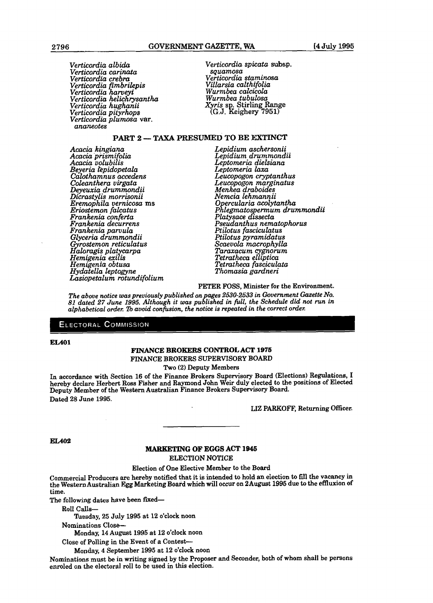*Verticordia atbida Verticordia spicata* **subsp.**  *Verticordia carinata squamasa Verticordiu crebm Verticordia staminosa Verticordia fimbrilepis Villarsia calthifolia Verticordia harveyi Wurmbea calcicola Verticordia he2ichrysanth.a Wurmbea tubulosa Verticordia hughanii Xyris* sp. Stirling Range *Verticordia hughanii Xyris* sp. Stirling Range *Verticordia pityrhops* (G.J. Keighery 7951) *ananeotes* 

*Acacia kingiana Lepidium aschersonii.* \* **Acacia prismifolia**<br> *Acacia volubilis*<br> *Acacia volubilis*<br> *Acacia volubilis*<br> *Acacia volubilis*<br> *Leptomeria laxa*<br> *Leptomeria laxa Beyeria &pidopetaka Leptomeria lawr Calothamnus acceakns Leucopogon cryptanthus Coleanthera virgata Leucopogon marginatus Deyewcia drummndii Menkea draboides Dicrastylis morrisonii Nemcia lehnannii Frankenia decurrens Pseudanthus nematopbrus Frankenia parvula Ptilotus fasciculatus Glyceriu drummondii Ptilotus pymmidatus rostemon reticulatus* <sup>9</sup>*Scaevola macrophylh aloragis plat carpa Taraxacum cygnorum Hernigenia ex& Tetratheca ellipticu Henigenia obtusa Tetratheca fasciculata Hydatella leptogyne Thomasia gardneri Laswpetalum mtundifolium* 

**PART 2 -- TAXA PRESUMED TO BE EXTINCT**<br>*Lepidium aschersonii* **Acacia** *volubi is Leptomeria dielsianu Eremophila vernicosa ms* **0** *erculariu acolytantha Eriostemon falcatus ~ilegmatos ermum drummondii Frankenia conferta Platysace tssecta*  osperm<br>dissect<br>us nei

#### PETER FOSS, Minister for the Environment.

*The above notice was previously published on pages 2530-2533 in Government Gazette No. 81 dated 27 June 1995. Although it was published in full, the Schedule did not run in alphabetical order.* Ib *avoid confision, the notice is repeated in the correct* **ordh** 

#### **ELECTORAL COMMISSION**

#### **EL401**

#### **FINANCE BROKERS CONTROL ACT 1975 FINANCE** BROKERS SUPERVISORY BOARD

Two (2) Deputy Members

In accordance with Section **16** of the Finance Brokers Supervisory **Board** (Elections) Regulations, I hereby declare Herbert Ross Fisher and Rayrnond John Weir duly elected to the positions of Elected Deputy Member of the Western Australian Finance Brokers Supervisory Board. Dated 28 June **1995.** 

**L12** PARKOFF, Returning Oflicer.

**EL402** 

#### **MA&lEZETING OF** EGGS ACT **1946**  ELECTION NOTICE

#### Election of One Elective Member to the Board

Commercial Producers are hereby notified that it is intended to hold an eIection to **fill** the vacancy in the Western Australian **Egg** Marketing Board which will occur on 2August **1995** due to **the** effluxion of time.

The following dates have been fixed-

RoII **Calls-**

**Tuesday, 25 July** 1995 at 12 o'clock noon

Nominations Close--

**Monday, 14** August **1995** at 12 o'clock noon

Close of Polling in the Event of a Contest-

Monday, 4 September **1995** at 12 o'clock noon

Nominations must be in writing signed by the Proposer and Seconder, both of whom shall be persons enroled on the electoral roll to be used in this election.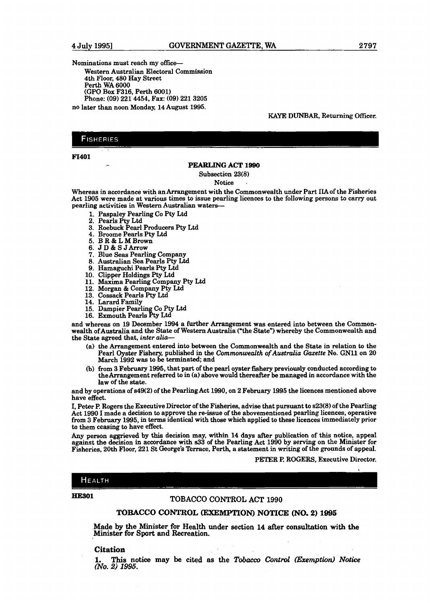Nominations must reach my office

Western Australian Electoral Commission 4th Floor, 480 Hay Street Perth WA 6000 (GPO Box F316, Perth 6001) Phone: (09) 221 4454, **Fax:** (09) 221 3205 no later than noon Monday, 14 August 1995.

**KAYE DUNBAR, Returning** Oflicer.

#### **FISHERIES**

. .

# **F1401** - **PEARLING ACT <sup>1990</sup>**

Subsection 23(8)

Notice

Whereas in accordance with an Arrangement with the Commonwealth under Part **IIA** of the Fisheries Act 1905 were made at various times to issue pearling licences to the following persons to **carry** out pearling activities in Western Australian waters-

- 1. Paspaley Pearling Co Pty Ltd
- 2. Pearls Pty Ltd
- 3. Roebuck Pearl Producers Pty Ltd
- 4. Broome Pearls Pty Ltd
- 5. BR & L M Brown
- 
- 6. JD & SJ Arrow<br>7. Blue Seas Pearling Company
- 8. Australian Sea Pearls Pty Ltd
- 9. Hamaguchi Pearls Pty Ltd
- 10. Clipper Holdings Pty Ltd
- 11. Maxima Pearling Company Pty Ltd
- 12. Morgan & Company Pty Ltd
- 13. Cossack Pearls Pty Ltd
- 14. Larard Family
- 15. Dampier Pearling Co Pty Ltd
- 16. Exmouth Pearls Pty Ltd

and whereas on 19 December 1994 a further Arrangement was entered into between the Commonwealth of Australia and the State of Western Australia ("the State") whereby the Commonwealth and the State agreed that, *inter alia-* 

- (a) the Arrangement entered into between the Commonwealth and the **State** in relation to the Pearl Oyster Fishery, published in the *Commonwealth of* Australia *Gazette* No. GNll on 20 March 1992 was to be terminated; and
- (b) from 3 February 1995, that part of the pearl oyster fishery previously conducted according to the Arrangement referred to in (a) above would thereafter be managed in accordance with the law of the state.

and by operations of s49(2) of the PearlingAct 1990, on 2 February 1995 the licences mentioned above have effect.

I, Peter P. Rogers the Executive Director of the Fisheries, advise that pursuant to s23(8) of the Pearling Act 1990 1 made a decision to approve the re-issue of the abovementioned pearling licences, operative from 3 February 1995, in terms identical **with** those which applied to these licences immediately prior to them ceasing to have effect.

Any person aggrieved by this decision may, within 14 days after publication of this notice, **appeal**  against the decision in accordance with **s33** of the Peacling Act 1990 by serving on the Minister for Fisheries, 20th Floor, 221 St George's Terrace, Perth, a statement in writing of the grounds of appeal.

#### PETER P. ROGERS, Executive Director.

HEALTH

# **HESO1 TOBACCO CONTROL ACT 1990**

#### **TOBACCO CONTROL (EXF,MPTXON) NOTICE (NO. 2) 1995**

**Made by the Minister for Health under section 14 after consultation with the Minister for Sport and Recreation.** 

#### **Citation**

**1. This notice may be cited as the** *Tobacco Contml (Eremption) Notice*  **(No. 22) 1995.**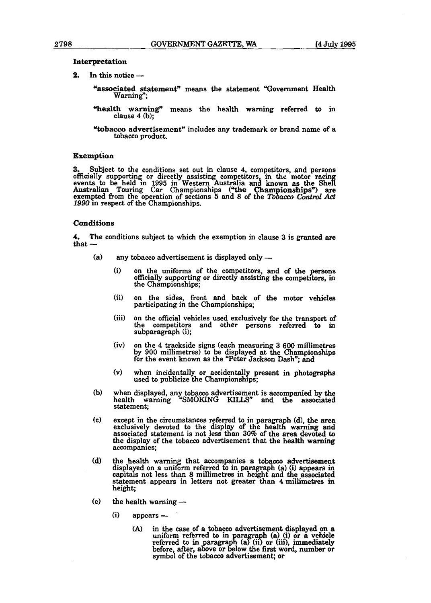- **Interpretation**<br>2. In this notice -
	- "associated statement" means the statement "Government Health Warning";
	- "health warning" means the health warning referred to in clause 4 (b);
	- Ytobacco advertisement" includes any trademark or brand name of a tobacco product.

#### **Exemption**

**3.** Subject to the conditions set out in clause 4, competitors, and persons officially supporting or directly assisting competitors, in the motor racing ometally supporting or directly assisting competitors, in the motor racing<br>events to be held in 1995 in Western Australia and known as the Shell Australian Touring Car Championships ("the Championships") are exempted from the operation of sections 5 and 8 of the *Tobacco Control Act* 1990 in respect of the Championships.

#### Conditions

**4.** The conditions subject to which the exemption in clause 3 is granted are  $4.$  The  $\text{that}$   $-$ 

- $(a)$ any tobacco advertisement is displayed only  $-$ 
	- (i) on the uniforms of the competitors, and of the persons officially supporting or directly assisting the competitors, in the Championships;
	- (ii) on the sides, front and back of the motor vehicles participating in the Championships;
	- (iii) on the official vehicles used exclusively for the transport of the competitors and other persons referred to in subparagraph (i);
	- (iv) on the 4 trackside signs (each measuring 3 600 millimetres by **900** millimetres) to be &splayed at **the** Championships for the event known as the "Peter Jackson Dash"; and
	- (v) when incidentally or accidentally present in photographs used to publicize the Championships;
- $(b)$ when displayed, any tobacco advertisement is accompanied by **the**  health warning "SMOKING KILLS" and the associated statement;
- $(c)$ except in the circumstances referred to in paragraph (d), the area exclusively devoted to the display of the health warning and associated statement is not less than 30% of the area devoted to the display of the tobacco advertisement that the health warning accompanies;
- $(d)$ the health warning that accompanies a tobacco advertisement displayed on a uniform referred to in paragraph (a) (i) appears in capitals not less than 8 millimetres in height and the associated statement appears in letters not greater **than** 4 **millimetres** in statement appears in  $t$ <br>height;<br>the health warning height;
- **(i) appears** (e)
	- - **(A)** in the case of a tobacco advertisement displayed on a uniform referred to in paragraph (a) (i) or a vehicle referred to in paragraph (a) (ii) or (iii), immediately before, after, above or below the first word, number or symbol of the tobacco advertisement; or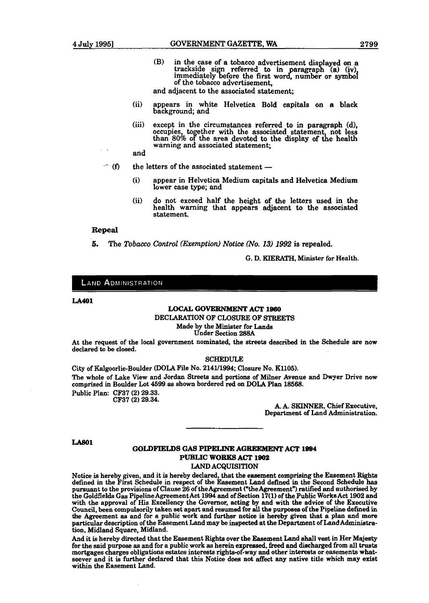**(B)** in the **case** of a tobacco advertisement **dis** layed on a trackside sign referred to in paragraph (a) (iv), immediately before the first word, number or symbol of the tobacco advertisement,

and adjacent to the associated **statement;** 

- (ii) appears in white Helvetica Bold capitals on a black background; and
- (iii) except in the circumstances referred to in paragraph **(d),** occupies, **to** ether with the associated statement not less than 80% o **f** the area devoted to the display of **the** health warning and associated statement;

and

- $-$  (f) the letters of the associated statement  $-$ 
	- (i) appear in Helvetica Medium capitals and Helvetica Medium lower **case** type; and
	- (ii) do not exceed half the height of the letters used in **the**  health warning that appears adjacent to **the** associated statement.

#### **Repeal**

**6.** The *Tobacco Control (Exemption) Notice (No. 13) 1992* is repealed.

G. D. KIERATH, Minister for Health.

#### **LAND ADMINISTRATION**

#### **LA401**

#### **LOCAL GOVERNMENT ACT 1980**

DECLARATION OF CLOSURE OF STREETS

Made by the Minister for **Lands** 

Under Section 288A

At the request of the local government nominated, the streets described in the Schedule are now declared to be closed.

#### SCHEDULE

City of Kalgoorlie-Boulder (DOLA File NO. 214U1994; Closure No. K1105). The whole of Lake View and Jordan Streets and portions of **Milner** Avenue and Dwyer Drive now comprised in Boulder Lot 4599 as shown bordered red on DOLA **Plan** 18568.

Public Plan: CF37 (2) 29.33.

CF37 (2) 29.34.

A. A. SKINNER, Chief Executive, Department of Land Administration.

**LA801** 

## **GOLDFIELDS GAS PIPELINE AGaEEMENT ACT 1994 PUBLIC WORKS ACT 1902**

**LAND** ACQUISITION

Notice is hereby given, and it is hereby declared, that the easement comprising the Easement **Rights**  defined in the First Schedule in respect of the Easement Land defined in the Second Schedule **has**  pursuant to the provisions of Clause 26 of theAgreement (We Agreement") ratified and authorised **by**  the Goldfields Gas Pipeline Agreement Act 1994 and of Section 17(1) of the Public Works Act 1902 and with the approval of His Excellency the Governor, acting by and with the advice of the Executive Council, been compulsorily **taken set** apart **and** resumed for **all** the **purpose8** of the Pipeline defined in the Agreement as and for a public work and further notice is hereby given that a plan and more particular description of the Easement Land may be inspected at **the** Department of **Laad** Administration, Midland **Square,** Midland.

And it is hereby directed that the Easement Righta over the Eaaement Land **shall** vest in Her Majesty for the said purpose as and for a public work as herein expressed, freed and discharged from all trusts mortgages charges obligations estates interests rights-of-way and other interests or easements whatsoever and it is further declared that this Notice does not affect **any** native title which may exist within the Easement Land.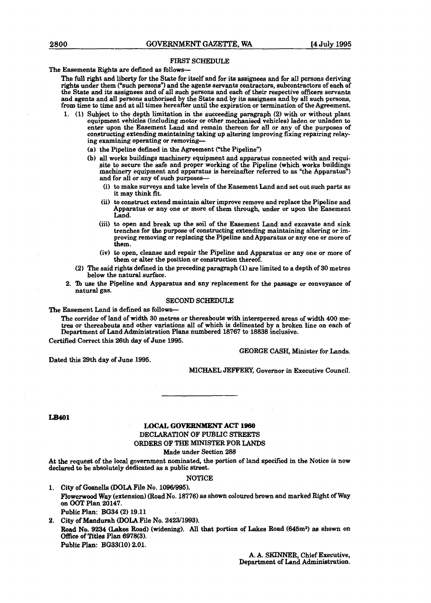#### **FIRST** SCHEDULE

The Easements Rights are defined as follows-

**The** full right and liberty for the State for itself and for its assignees and for **aIl** persons deriving rights under them ("such persons") and the agents servants contractors, subcontractors of each of the State and its assignees and of all such persons and each of their respective officers servants and agents and all persons authorised by the **State** and by its assignees and by all such persons, from time to time and at all times hereafter until the expiration or termination of the Agreement.

- **1.** (1) Subject to the depth limitation in the succeeding paragraph (2) with or without plant equipment vehicles (including motor or other mechanised vehicles) laden or unladen to enter upon the **Easement** Land and remain thereon for **dl** or any of the purposes of constructing extending maintaining **taking** up altering improving **fixing** repairing relaying examining operating or removing-
	- (a) the Pipeline defined in the Agreement ("the Pipeline")
	- (b) all works buildings machinery equipment and apparatus connected with and requisite to secure the safe and proper working of the Pipeline (which works buildings machinery equipment and apparatus is hereinafter referred to as "the Apparatus") and for all or **any** of such purposes-
		- (i) to make surveys and take levels of the Easement Land and set out such parts as it may think fit.
		- **(ii)** to construct extend maintain alter improve remove **and** replace the Pipeline and Apparatus or any one or more of them through, under or upon the Easement Land.
		- (iii) to open and break up the soil of the Easement Land and excavate and sink trenches for the purpose of constructing extending maintaining altering or improving removing or replacing the Pipeline and Apparatus or any one or more of them.
		- (iv) to open, cleanse and repair the Pipeline and Apparatus or any one or more of them or alter the position or construction thereof.
	- **(2)** The said rights defined in the preceding paragraph (1) are limited to a depth of 30 metres below the natural surface.
- 2. To use the Pipeline and Apparatus and any replacement for the passage or conveyance of natural **gas.**

#### SECOND SCHEDULE

The Easement Land is defined **as** follows-

**The** corridor of land of width 30 metres or thereabouts with interspersed areas of width 400 metres or thereabouts and other variations all of which is delineated by a broken line on each of Department of Land Administration Plans numbered 18767 to 18838 inclusive.

Certified Correct this 26th day of June 1995.

Dated this 29th day of June 1995.

GEORGE CASH, Minister for Lands.

MICHAEL JEFFEKY, Governor in Executive Council.

#### **LB401**

#### **LOCAL GOVERNMENT ACT 1960** DECLARATION OF PUBLIC STREETS ORDERS OF THE **MINZSTER** FOR LANDS Made under Section 288

At the request of the local government nominated, the portion of land specified in the Notice is now declared to be absolutely dedicated **as** a public street.

NOTICE

1. City of Gosnells **(DOLA File No. 1096/995)**. FIowerwood **Way** (extension) (Road No. 18776) as shown coloured brown and marked Right of **Way**  on **OOT** Plan 20147. Public Plan: **BG34** (2) 19.11

**2. City** of **Mandurah (DOLA** File No. 242311993). Road No. 9234 (Lakes Road) (widening). All that portion of Lakes Road (645m<sup>2</sup>) as shown on **Office** of **Titlea** Plan 6978(3). Public Plan: **BG33(10)** 2.01.

> A. A. **SKINNER,** Chief Executive, Department of Land Administration.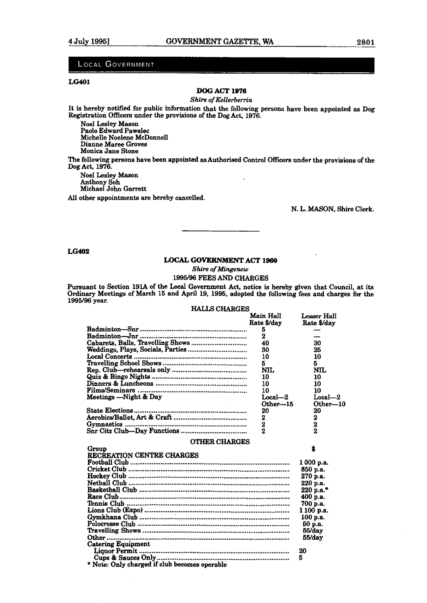#### **LOCAL GOVERNMENT**

#### **LG401**

#### **DOG ACT 1976**

#### *Shim of Kellerberrin*

*It* is hereby notified for public information that the following persons have been appointed as **Dog**  Registration Officers under the provisions of the Dog Act, 1976.

Noel Lesley Mason Paolo Edward Pawelec Michelle Noelene McDonnell Dianne **Maree** Groves **Monica Jane Stone** 

The following persons have been appointed as Authorised Control **OfFicers** under the provisions of the Dog Act, 1976.

Noel Lesley Mason Anthony Soh Michael John Garrett

**All** other appointments are hereby cancelled.

N. L. MASON, Shire Clerk.

**LG402** 

#### **LOCAL GOVERNMENT** *ACT* **1960**

*Shire of Mingenew* 

#### 1995196 FEES **AND** CHARGES

Pursuant to Section 191A of the Local Government Act, notice is hereby given that Council, at its **Ordinary** Meetings of March 15 and April 19, 1995, adopted the following fees and charges for the 1995/96 year.

HAILS CHARGES

|                                                                                                                 | Main Hall<br>Rate \$/day | Lesser Hall<br>Rate \$/day |
|-----------------------------------------------------------------------------------------------------------------|--------------------------|----------------------------|
|                                                                                                                 | 5                        |                            |
|                                                                                                                 | 2                        |                            |
|                                                                                                                 | 40                       | 30                         |
|                                                                                                                 | 30                       | 25                         |
|                                                                                                                 | 10                       | 10                         |
|                                                                                                                 | 5                        | 5                          |
|                                                                                                                 | <b>NIL</b>               | NIL                        |
|                                                                                                                 | 10                       | 10                         |
|                                                                                                                 | 10                       | 10                         |
|                                                                                                                 | 10                       | 10                         |
| Meetings -- Night & Day                                                                                         | $Local-2$                | $Local-2$                  |
|                                                                                                                 | Other-15                 | Other-10                   |
|                                                                                                                 | 20                       | 20                         |
|                                                                                                                 | 2                        | $\frac{2}{2}$              |
|                                                                                                                 | $\mathbf 2$              |                            |
|                                                                                                                 | $\overline{2}$           | $\overline{2}$             |
| <b>OTHER CHARGES</b>                                                                                            |                          |                            |
| Group                                                                                                           |                          | Ŝ.                         |
| RECREATION CENTRE CHARGES                                                                                       |                          |                            |
|                                                                                                                 |                          | 1 000 p.a.                 |
|                                                                                                                 |                          | 850 p.a.                   |
|                                                                                                                 |                          | 270 p.a.                   |
|                                                                                                                 |                          | 220 p.a.                   |
|                                                                                                                 |                          | 220 p.a.*                  |
|                                                                                                                 |                          | 400 p.a.                   |
|                                                                                                                 |                          | 700 p.a.                   |
|                                                                                                                 |                          | 1100 p.a.                  |
|                                                                                                                 |                          | 100 p.a.                   |
|                                                                                                                 |                          | 50 <sub>p.a.</sub>         |
|                                                                                                                 |                          | 55/day                     |
| the contract of the contract of the contract of the contract of the contract of the contract of the contract of |                          | 55/day                     |

Catering Equipment

Liquor Permit ................................................................................... <sup>20</sup> Cups&SaucesOnly .......................................................................... <sup>5</sup>\* Note: **Only** charged if club **becomes** operable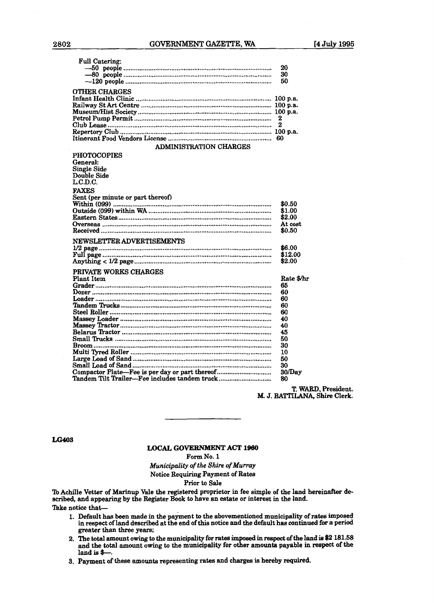#### **2802** GOVERNMENT **GAZEITE, WA I4 July 1995**

| <b>Full Catering:</b>                                                           | 20<br>30                                   |
|---------------------------------------------------------------------------------|--------------------------------------------|
|                                                                                 | 50                                         |
| <b>OTHER CHARGES</b>                                                            | 100 p.a.<br>100 p.a.<br>100 p.a.<br>2<br>2 |
|                                                                                 | 60                                         |
| ADMINISTRATION CHARGES                                                          |                                            |
| <b>PHOTOCOPIES</b><br>General:<br><b>Single Side</b><br>Double Side<br>L.C.D.C. |                                            |
| <b>FAXES</b>                                                                    |                                            |
| Sent (per minute or part thereof)                                               | \$0.50<br>\$1.00<br>\$2.00<br>At cost      |
|                                                                                 | \$0.50                                     |
| NEWSLETTER ADVERTISEMENTS                                                       |                                            |
|                                                                                 | \$6.00                                     |
|                                                                                 | \$12.00                                    |
|                                                                                 | \$2.00                                     |
| PRIVATE WORKS CHARGES                                                           |                                            |
| <b>Plant Item</b>                                                               | Rate \$/hr                                 |
|                                                                                 | 65                                         |
|                                                                                 | 60                                         |
|                                                                                 | 60                                         |
|                                                                                 | 60                                         |
|                                                                                 | 60                                         |
|                                                                                 | 40                                         |
|                                                                                 | 40                                         |
|                                                                                 | 45                                         |
|                                                                                 | 50<br>30                                   |
|                                                                                 | 10                                         |
|                                                                                 | 50                                         |
|                                                                                 | 30                                         |
| Compactor Plate—Fee is per day or part thereof                                  | 30/Day                                     |
| Tandem Tilt Trailer—Fee includes tandem truck                                   | 80                                         |

T. **WARD,** President. M. **J.** BATTILANA, Shire Clerk.

**LG403** 

**LOCAL GOVERNMENT ACT l960** 

**Form No. 1** 

*Municipality* **of** *the* Shire **of** *Mumy*  Notice Requiring Payment of **Rates** 

Prior to **Sale** 

'h Achille Vetter of Marinup Vale the registered proprietor in fee simple of the land hereinaffer de**scribed,** and appearing by the **Register** Book to have an **estate** or interest in **the** land. Take notice that-

- 1. Default has been made in the payment to the abovementioned municipality of rates imposed in respect of land described at the end of this notice and the default has continued for a period **greater** than **three** years;
- 2. The total amount owing to the municipality for rates **impoeed** in **mpect** ofthe land **is** \$2 **181.58**  and **the** total amount owiug to the municipality for other **amounts** payable in respect **d** the land is \$-
- **3,** Payment of these **amounts** representing **rates aad charges** is hereby required.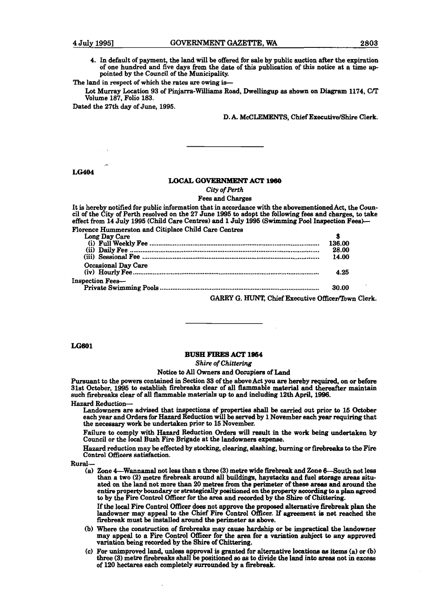4. In default of payment, the land will be offered for sale by public auction after the expiration of one hundred and five days from the date of this publication of **this** notice at a time ap- pointed by the Council of the Municipality.

**The** land in respect of which the **rates** are owing is-

Lot Murray Location 93 of Piqiarra-WiUiams Road, Dwellingup **as** shown on *Diagram* **1174, CIT**  Volume 187, Folio 183.

Dated the **27th** day of June, **1995.** 

**D.** A. **McCLEMENTS, Chief** Executive/Shire Clerk,

#### **LG404**

#### **LOCAL GOWRNMENT ACT 1960**

*City* **of** *Perth* 

Fees and Charges

| It is hereby notified for public information that in accordance with the abovementioned Act, the Coun-<br>cil of the City of Perth resolved on the 27 June 1995 to adopt the following fees and charges, to take<br>effect from 14 July 1995 (Child Care Centres) and 1 July 1995 (Swimming Pool Inspection Fees)- |        |  |
|--------------------------------------------------------------------------------------------------------------------------------------------------------------------------------------------------------------------------------------------------------------------------------------------------------------------|--------|--|
| Florence Hummerston and Citiplace Child Care Centres                                                                                                                                                                                                                                                               |        |  |
| Long Day Care                                                                                                                                                                                                                                                                                                      | s      |  |
|                                                                                                                                                                                                                                                                                                                    | 136.00 |  |
|                                                                                                                                                                                                                                                                                                                    | 28.00  |  |
|                                                                                                                                                                                                                                                                                                                    | 14.00  |  |
| Occasional Day Care                                                                                                                                                                                                                                                                                                |        |  |
|                                                                                                                                                                                                                                                                                                                    | 4.25   |  |
| Inspection Fees—                                                                                                                                                                                                                                                                                                   |        |  |
|                                                                                                                                                                                                                                                                                                                    | 30.00  |  |
|                                                                                                                                                                                                                                                                                                                    |        |  |

GARRY G. HUNT, Chief Executive Officer/Town Clerk.

#### LG601

#### **BUSH FIRES ACT l964**

Shire **of** *Chittering* 

#### Notice to All Owners and Occupiers of **Land**

Pursuant **to** the powers contained in Section **33** of the above Act you are hereby **required,** on or before 31st October, **1995** to establish firebreaks clear of all flammable material and thereafter **maintain**  such firebreaks clear of **all** flammable materials up to and including 12th April, 1996. Hazard Reduction-

Landowners are advised that inspections of properties shall be carried out prior to **16** October each year and Orders for Hazard Reduction will be served by **1** November each year requiring that the necessary work be undertaken prior to 15 November.

Failure to comply with Hazard Reduction Orders will reeult in the work being undertaken by Council or the local Bush Fire Brigade at the landowners expense.

Hazard reduction may be effected by stocking, clearing, slashing, burning or firebreaks to the Fire Control Officers satisfaction.

Rural-

(a) Zone 4—Wannamal not less than a three (3) metre wide firebreak and Zone 6—South not less than a two (2) metre firebreak around all buildinga, haystacke and fuel **atorage** areas **aitu**ated on the land not more than 20 metres from the perimeter of these **areas** and around the entire property boundary or strategically positioned on the property according to a plan agreed to by the Fire Control Officer for the area and recorded by the Shire of Chittering.

If the local Fire Control **Officer** does not approve the **mpoeed alternative firebreak plan the**  landowner may appeal to the Chief Fire Control Officer. If agreement is not reached the firebreak must be installed around the perimeter as above.

- (b) Where the construction of firebreaks may **catwe** hardship or be impractical **the** landowner may appeal to a **Fire** Control Officer for the **area** for a variation **mbject to any** approved variation **being recorded** by the **Shire** of **Chittering.**
- **(C)** For unimproved land, **unless** approval **ie** gnanted for dternative loeationa **as** items (a) or **(b)**  three (3) metre firebreaks shall be positioned so as to divide the land into areas not in excess of 120 hectares each completely surrounded by a firebreak.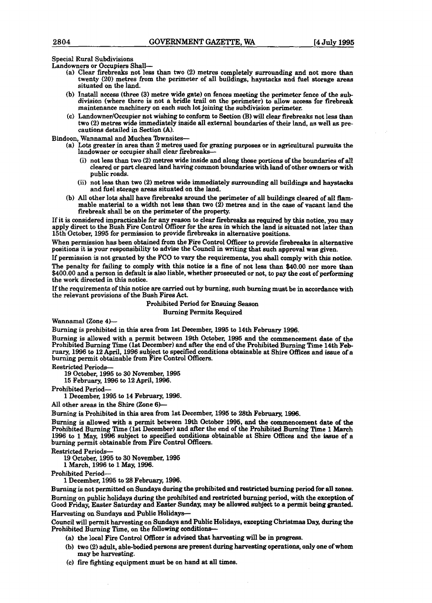Special Rural Subdivisions

Landowners or Occupiers Shall-

- **{a)** Clear firebreaks not less than two **(2)** metres completely surromding and not more than twenty **(20)** metres from the perimeter of all buildings, haystacks and fuel **storage** areas situated on the land.
- (b) **Install** access (three **(3)** metre wide gate) on fences meeting the perimeter fence of **the** sub division (where there is not a bridle **trail** on the perimeter) to aIlow access for firebreak maintenance machinery on each such lot joining the subdivision perimeter.
- (c) Landowner/Occupier not wishing to conform to Section **(B)** will clear firebreaks not less than two (2) metres wide immediately inside **all** external boundaries of their land, as well as precautions detailed in Section (A).

Bindoon, Wannamal **and** Muchea Townsites-

- (a) Lots greater in area **than** 2 metres used for grazing purposes or in agricultural pursuits the landowner or occupier shall clear firebreaks-
	- **(i)** not less than two (2) metres wide inside and along those portions of the boundaries of **all**  cleared or part cleared land having common boundaries with land of other owners or with public roads.
	- (ii) not less than two (2) metres wide immediately surrounding all buildings and haystacks and fuel storage areas situated on the land.
- (b) All other lots shall have firebreaks around the perimeter of **all** buildings cleared of **aIl** flammable material to a width not less than two (2) metres and in the case of vacant land the firebreak shall be on the perimeter of the property.

If it is considered impracticable for any reason to clear firebreaks **as** required by this notice, you **may**  apply direct to the Bush Fire Control Officer for the area in which the land is situated not later than 15th October, 1995 for permission to provide firebreaks in alternative positions.

When permission has been obtained from the **Fire** Control Officer to provide **firebreaks** in alternative positions it is your responsibility to advise the Council in writing that such approval **was** given.

If permission is not granted by the FCO to vary the requirements, you shall comply with this notice. The penalty for failing to comply with this notice is a fine of not less than \$40.00 nor more **than**  \$400.00 and a person in default is also liable, whether prosecuted or not, to pay the cost of performing the work directed in this notice.

If the requirements of this notice are **carried** out by burning, such burning **must** be in accordance with the relevant provisions of the Bush Fires Act.

> Prohibited Period for Ensuing Season Burning Permits Required

Wannamal (Zone **4)-** 

Burning is prohibited in this area from 1st December, 1995 to 14th February 1996.

Burning is allowed with a permit between 19th October, 1995 and the commencement **date** of the Prohibited Burning Time (1st December) and after the end of the Prohibited Burning Time 14th **Feb**ruary, 1996 to 12 April, 1996 subject to specified conditions obtainable at Shire Offices and issue of a burning permit obtainable from Fire Control Officers.

Restricted Periods-

19 October, 1995 to 30 November, 1995

15 February, 1996 to 12 April, 1996.

Prohibited Period-

1 December, 1995 to 14 February, 1996.

All other areas in the Shire (Zone 6)-

Burning **is** Prohibited in this area from 1st December, 1995 to 28th Februarg, **11996.** 

Burning is allowed with a permit between 19th October 1995, and the commencement **date** of **the**  Prohibited Burning **Time** (1st December) and after the end of the Prohibited Burning Time 1 March 1996 to 1 **May,** 1996 subject to specified conditions obtainable at **Shire** Offices and the issue of a burning permit obtainable from **Fire** Control **Officers.** 

Restricted Periods-

19 October, 1995 to 30 November, 1995

1 March, 1996 to 1 **May,** 1996.

Prohibited Period-

1 December, 1995 to 28 February, 1996.

Burning is not permitted on Sundays **during** the **prohibited** and restricted **burning** period for **all** zones. Burning on public holidays during the prohibited and restricted **burning period,** with the **exception** of Good Friday, **Easter** Saturday and **Easter Sunday,** may be allowed subject **to** a permit **being granted.**  Harvesting on **Sundays** and Public Holiday+

Council will permit harvesting on **Sudaya** and Public Holidays, **excepting** Chri~tmaa **Day,** during the Prohibited **Burning Time,** on the following conditiom-

- (a) the local Fire Control Officer is advised that harvesting will be in progress.
- (b) two (2) adult, able-bodied pemons **are** present during harvesting operations, **only** one of **whom**  may be harvesting.
- (C) **fire** fighting equipment must be on hand at all times.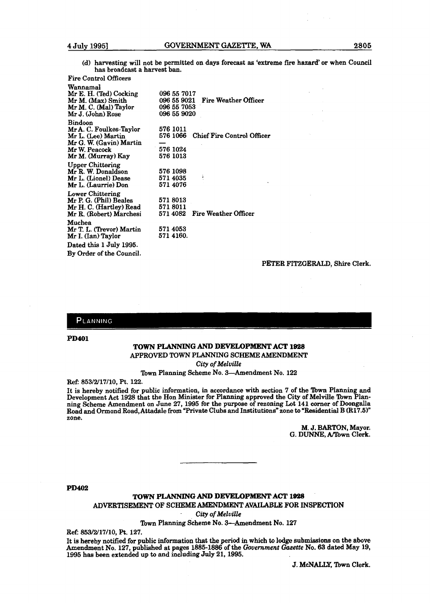(d) harvesting will not be permitted on days forecast **as** 'extreme **fne** hazard' or when Council has broadcast a harvest ban.

Fire Control Officers

| Wannamal                 |                                                |
|--------------------------|------------------------------------------------|
| Mr E. H. (Ted) Cocking   | 096 55 7017                                    |
| Mr M. (Max) Smith        | 096 55 9021 Fire Weather Officer               |
| Mr M. C. (Mal) Taylor    | 096 55 7053                                    |
| Mr J. (John) Rose        | 096 55 9020                                    |
|                          |                                                |
| <b>Bindoon</b>           |                                                |
| Mr A. C. Foulkes-Taylor  | 576 1011                                       |
| Mr L. (Lee) Martin       | 576 1066<br>Chief Fire Control Officer         |
| Mr G. W. (Gavin) Martin  |                                                |
| Mr W. Peacock            | 576 1024                                       |
| Mr M. (Murray) Kay       | 576 1013                                       |
|                          |                                                |
| <b>Upper Chittering</b>  |                                                |
| Mr R. W. Donaldson       | 576 1098                                       |
| Mr L. (Lionel) Dease     | ł<br>571 4035                                  |
| Mr L. (Laurrie) Don      | 571 4076                                       |
| Lower Chittering         |                                                |
| Mr P. G. (Phil) Beales   | 5718013                                        |
|                          | 5718011                                        |
| Mr H. C. (Hartley) Read  |                                                |
| Mr R. (Robert) Marchesi  | <b>571 4082</b><br><b>Fire Weather Officer</b> |
| Muchea                   |                                                |
| Mr T. L. (Trevor) Martin | 571 4053                                       |
| Mr I. (Ian) Taylor       | 571 4160.                                      |
|                          |                                                |
| Dated this 1 July 1995.  |                                                |
| By Order of the Council. |                                                |
|                          |                                                |

#### PETER **FITZGERALD,** Shire Clerk.

#### PLANNING

**PD401** 

#### **TOWN PLANNING AND DEVELOPMENT ACT 1928** APPROVED **TOWN** PLANNING SCMEME **AMENDMENT**

*City* **of** *Melville* 

Town Planning Scheme No. 3-Amendment No. 122

**Ref: 853/2/17/10, Pt. 122.** 

It **is** hereby notified for public information, in accordance with section 7 of the 'bwn PIanning and Development Act 1928 that the Hon Minister for Planning approved the City of Melville Town Planning Scheme Amendment on June **27, 1995** for the purpose of rezoning Lot **141** corner of **Doongalla**  Road and Ormond Road,Attadale from "Private Clubs and Institutions" zone **to** "Residential B **(R17.5)"**  zone.

M. **J. BARTON,** Mayor. G. **DUNNE, Afbwn Clerk.** 

**PD402** 

#### **TOWN PLANNING AND DEVELOPMENT ACT 1928**

**ADVERTISEMENT OF SCHEME AMENDMENT AVAILABLE FOR INSPECTION** 

- *City of Melville* 

Town Planning Scheme No. 3-Amendment No. **127** 

Ref: **853/2/17/10,** Pt. **127.** 

**It is** hereby notified for public information that the period in which to **lodge** submissions on the above Amendment No. **127,** published at pages **1885-1886** of **the** *Government Gazette* No. *63* dated **May** 19, **1995 has** been extended up **to** and including **July 21,1995.** 

J. McNALLY, Town Clerk.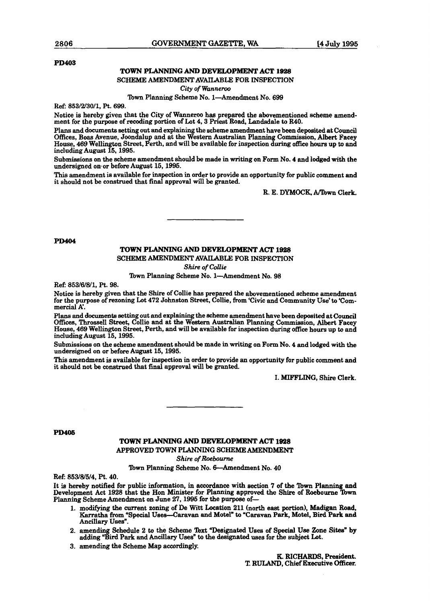#### **PD403**

#### **TOWN PLANNING AND DIEVELOPMENT ACT 1928**

#### SCHEME AMENDMENT AVAILABLE FOR INSPECTION

**City of Wanneroo** 

### Town Planning Scheme No. 1-Amendment No. 699

**Ref: 853/2/30/1,** Pt. 699.

Notice is hereby given that the City of Wanneroo has prepared the abovementioned scheme amendment for the purpose of recoding portion of Lot 4,3 Priest Road, Landsdale **to MO.** 

Plans **and** documents setting out and explaining the scheme **amendment** have been deposited **ab Council**  Offices, **Boas** Avenue, Joondalup and at the Western Australian **Planning** Commission, **Albert** Facey House, 469 Wellington Street, Perth, and will be available for inspection during office hours up **to** and including August 15,1995.

Submissions on the scheme amendment should be made in writing on Form No, 4 and lodged **with** the undersigned on or before August 15, 1995.

**This** amendment is available for inspection in order to provide an opportunity for public comment **and**  it should not be construed that final approval will be granted.

R. E. DYMOCK, A/Town Clerk.

**PD404** 

#### **TOWN PLANNING AND DEVELOPMENT ACT 1928**

#### SCHEME **AMENDMENT** AVAILABLE FOR INSPECTION

**Shire of** Collie

Town Planning Scheme No. 1-Amendment No. 98

Ref: 853/6/8/1, Pt. 98.

Notice is hereby given that the Shire of Collie has prepared the abovementioned scheme amendment for the purpose of rezoning Lot 472 Johnston Street, Collie, from 'Civic and Community Use'to 'Commercial A'.

Plans and **documents** setting out and explaining the scheme amendment have been deposited at Council OEces, Throssell **Street,** Collie and at the **Western** Australian Planning **Commission, Albert Facey**  House, 469 Wellington Street, Perth, and will be available for inspection during office hours up **to** and including August 15,1995.

Submissions on the scheme amendment should be made in writing on Form No. 4 and lodged with the undersigned on or before August 15,1995.

**This** amendment is available for inspection in order to provide an opportunity for public comment and it should not be **construed** that final approval will be **granted.** 

I. **MIFFLING, Shire Clerk.** 

#### **PD405**

#### **TOWN PLANNING AND DEVELOPMENT ACT** 1928 APPROVED **TOWN PLANNING SCHEME AMENDMENT**

*Shire* **of** *Roebourne* 

Town Planning Scheme No. 6-Amendment No. 40

Ref: 85318/5/4, Pt. 40.

It **is** hereby notified for public information, in **accordance with** section 7 of the Tbwn Planning and Development Act 1928 that the Hon **Minister** for Planning approved the **Shire** of Roebourne 2bwn **Planning** Scheme Amendment on June 27,1995 for the purpose of-

- 1. modifying the current zoning of De **Witt** Lacation 21 (north east portion), Madigan Road, batha **from "Special** Uses-Caravan and Motel" **to** 'Caravan **Park,** Motel, **Bird Park** and Ancillary Uses".
- 2. amending Schedule 2 to the Scheme Text **"Designated Uses of Special Use Zone Sites"** by adding **"Bird Park and Ancillary Uses"** to the designated uses for the subject Lot.
- 3, amending the Scheme **Map** accordingly.

K. RICHARDS, President. T. **RULAND,** Chief **Executive Officer.**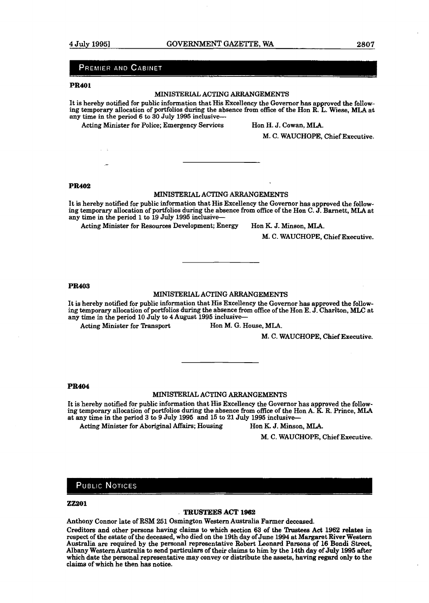#### PREMIER AND CABINET

#### **PR401**

#### MINISTERIAL ACTING ARRANGEMENTS

It is hereby notified for public information that His Excellency the Governor **has** approved the fallow**ing** temporary allocation of portfolios during the absence from office of the Hon R. L. Wiese, **MLA** at any time in the period **6** to **30** July **1995** inclusive-

Acting Minister for Police; Emergency Services Hon H. J. Cowan, MLA.

**M,** C. WAUCHOPE, Chief Executive.

#### **PR402**

#### MINISTERIAL ACTING ARRANGEMENTS

It is hereby notified for public information that His Excellency the Governor has approved the foliowing temporary allocation of portfolios during the absence from office of the Hon C. J. Barnett, MLA at any time in the period **1** to **19** July **1995** inclusive-

Acting Minister for Resources Development; Energy Hon K. J. Minson, MLA.

M. C. WAUCHOPE, Chief Executive.

#### **PR403**

#### MINISTERLAL ACTING ARRANGEMENTS

It is hereby notified for public information that His Excellency the Governor has approved the follow**ing** temporary allocation of portfolios during the absence from office of the Hon E. **J.** Chariton, **MLC** at any time in the period **10** July to **4** August **1995** inclusive--

Acting Minister for Transport Hon M. G. House, MLA.

M. C. WAUCHOPE, Chief Executive.

#### **PR404**

#### MINISTERIAL ACTING ARRANGEMENTS

It is hereby notified for public information that His Excellency the Governor has approved the following temporary allocation of portfolios during the absence from ofice of the Hon A. K. R. Prince, MLA at any time in the period 3 **to 9** July **1995** and **15** to **21** July **1995** inclusive--

Acting Minister for Aboriginal **Affairs;** Housing Hon **K** J. Minson, **MLA.** 

M. C. WAUCHOPE, Chief Executive.

#### **PUBLIC NOTICES**

#### **22201**

#### - **TRUSTEES ACT X962**

Anthony Connor late of RSM **251** Osrnington Western Australia Farmer deceased.

Creditors and other persons having claims to which section 63 of the Trustees Act 1962 relates in respect of the estate of the deceased, who died on the 19th day of June **1994** at Margamt **River** Western Australia are required by the personal representative Robert Leonard Parsons of 16 Bondi Street, Albany Western Australia to send **particulars** of their claims to him by the 14th day of **July** 1995 after which date the personal representative may convey or distribute the assets, having regard only to the claims of which he then **has** notice.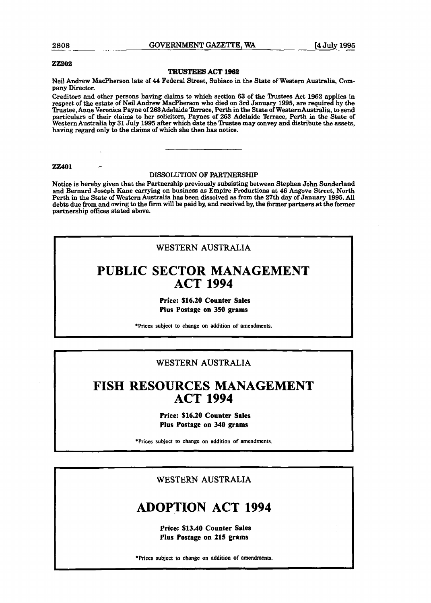**2808 GOVERNMENT GAZETTE. WA 14 Julv 1995** 

#### **22202**

#### **TRUSTEES** ACT 1962

Neil Andrew MacPherson late of 44 Federal Street, Subiaco in the **State** of **Western** Australia, Company Director.

Creditors and other persons having claims to which section 63 of the 'bustees Act **1962** applies in respect **of** the estate of Neil Andrew MacPherson **who** died on 3rd Janusry 1995, **are** required by the Ttustee,Anne Veronica Payne of 263Adelaide Terrace, Perth in the State of WesternAustralia, to send particulars of their claims to her solicitors, Paynes of 263 Adelaide Terrace, Perth in the State of Western Australia by 31 July 1995 after which date the Trustee may convey and distribute the assets, having regard only to the claims of which she then has notice.

**22401** -

#### DISSOLUTION OF PARTNERSHIP

Notice is hereby given that the Partnership previously subsisting between Stephen John Sunderland and Bernard Joseph Kane carrying on business as Empire Productions at 46 Angove Street, North Perth in the State of Western Australia **has** been dissolved **as** from the **27th** day of January 1995. All debts due **from** and owing **to** the **fm** will be paid by, and received by, **the** former partners **at** the former partnership offices **stated** above.

#### WESTERN AUSTRALIA

# **PUBLIC SECTOR MANAGEMENT ACT 1994**

#### **Price: \$16.20 Counter Sales Plus Postage on 350 grams**

\*Prices subject to change on addition of amendments.

- --p

## WESTERN AUSTRALIA

# **FISH RESOURCES MANAGEMENT ACT 1994**

#### **Price: \$16.20 Counter Sales Plus Postage on 340 grams**

\*Prices subject to change on addition of amendments.

#### **WESTERN** AUSTRALIA

# **ADOPTION ACT 1994**

**Price: \$13.40 Counter Sales Plus Postage on 215 grams** 

**\*Prices** subject to change on addition of **amendments.**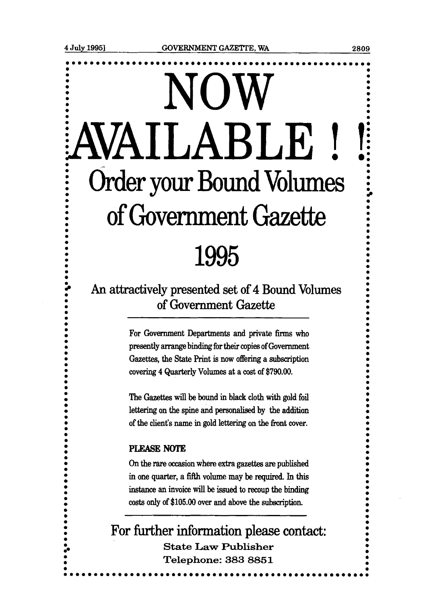# NOW **. AVAILABLE** ! !i  $\sim$  0  $\sim$  1  $\sim$  1  $\sim$  1  $\sim$  1  $\sim$  1  $\sim$  1  $\sim$  1  $\sim$  1  $\sim$  1  $\sim$  1  $\sim$  1  $\sim$  1  $\sim$  1  $\sim$  1  $\sim$  1  $\sim$  1  $\sim$  1  $\sim$  1  $\sim$  1  $\sim$  1  $\sim$  1  $\sim$  1  $\sim$  1  $\sim$  1  $\sim$  1  $\sim$  1  $\sim$  1  $\sim$  1  $\sim$  1  $\sim$  1  $\sim$ **EXECUTE:** Order your Bound Volumes **EXECUTE: 0**  of Government Gazette 1995

# An attractively presented set of 4 Bound Volumes of Government Gazette

For Government Departments and private firms who presently arrange binding for their copies of Government Gazettes, the **State** Print is now offering a subscription covering 4 Quarterly Volumes at a cost of \$790.00.

The Gazettes will be bound in black cloth with gold foil **<sup>0</sup>** lettering on the spine and **personalised** by the addition of the client's name in gold lettering on the front cover.

#### PLEASE **NOTE**

**0** 

**On** the rare occasion where extra gazettes are published **<sup>0</sup>** in one quarter, a fifth volume may be required. In this instance an invoice will be issued to recoup the binding costs only of \$105.00 over and above the subscription.

**0 0 1**<br>For further information please contact:  $$ **<sup>0</sup>Telephone: 383 8851 <sup>0</sup> 0 0 0 0 ....................\* oooooooooooo\*oeeeooooooooo\*oeoo** 

----<br>---

**0** 

**0 0** 

**0** 

- -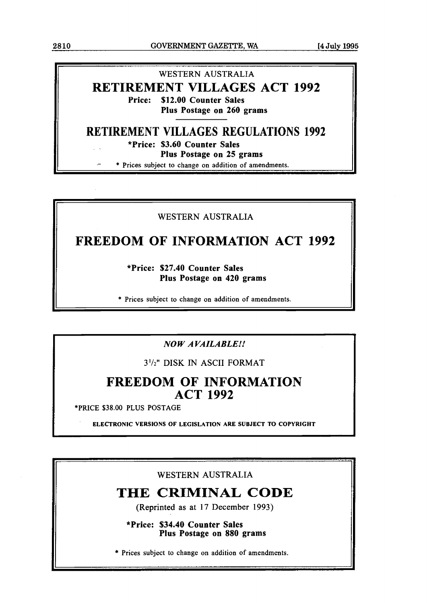# **WESTERN AUSTRALIA RETIREMENT VILLAGES ACT 1992 Price: \$12.00 Counter Sales Plus Postage on 260 grams**

# **RETIREMENT VILLAGES REGULATIONS 1992**

**\*Price: \$3.60 Counter Sales** 

**Plus Postage on 25 grams** 

\* Prices subject to change on addition of amendments.

## WESTERN AUSTRALIA

# **FREEDOM OF INFORMATION ACT 1992**

**\*Price: \$27.40 Counter Sales Plus Postage on 420 grams** 

\* Prices subject to change on addition of amendments.

## *NO W A VAILABLE!!*

3'12" DISK *IN* ASCII FORMAT

# **FREEDOM OF INFORMATION ACT 1992**

\*PRICE \$38.00 **PLUS** POSTAGE

**ELECTRONIC VERSIONS OF LEGISLATION ARE SUBJECT TO COPYRIGHT** 

## WESTERN AUSTRALIA

# **THE CRIMINAL CODE**

**(Reprinted as at 1** 7 **December 1993)** 

**\*Price: \$34.40 Counter Sales Plus Postage on 880 grams** 

\* Prices subject to change on addition of amendments.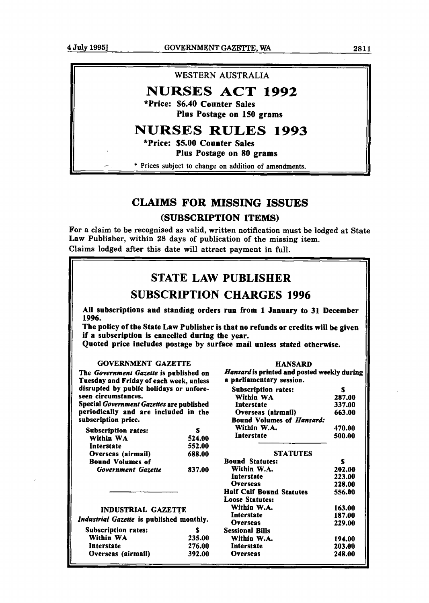

## **CLAIMS FOR MISSING ISSUES**

#### (SUBSCRIPTION ITEMS)

For a claim to be recognised as valid, written notification must be lodged at State **Law** Publisher, within 28 days of publication of the missing item. Claims lodged after this date will attract payment in full.

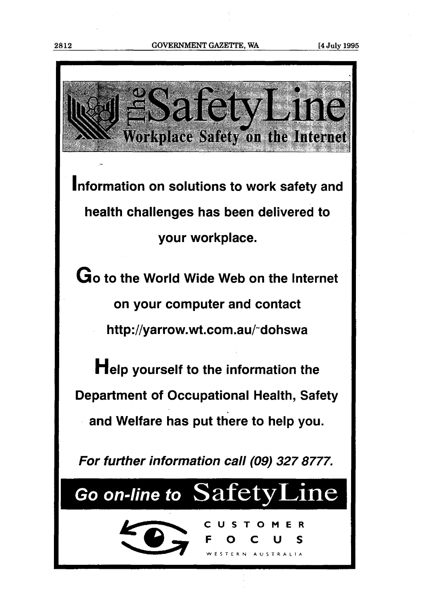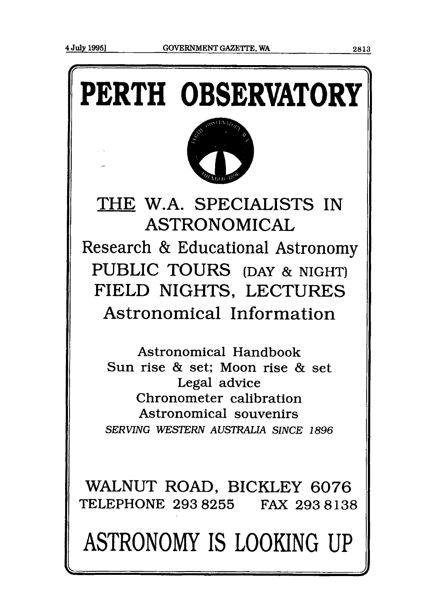# **PERTH OBSERVATORY**



THE W.A. SPECIALISTS IN ASTRONOMICAL Research & Educational Astronomy PUBLIC TOURS (DAY & NIGHT) FIELD NIGHTS, LECTURES Astronomical Information

Astronomical Handbook Sun rise & set; Moon rise & set Legal advice Chronometer calibration Astronomical souvenirs *SERVING WESTERN* **AUSTRALIA** *SINCE* **1896** 

WALNUT ROAD, BICKLEY 6076 TELEPHONE **293 8255** FAX **293 8138** 

ASTRONOMY IS LOOKING UP